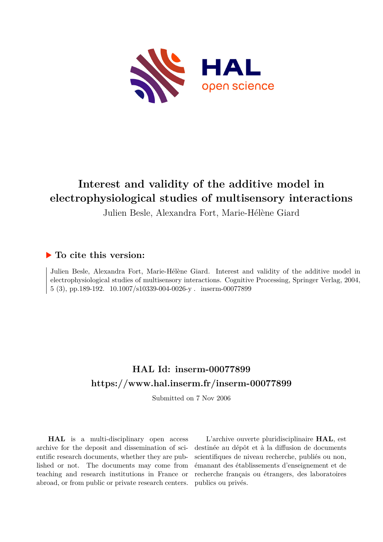

# **Interest and validity of the additive model in electrophysiological studies of multisensory interactions**

Julien Besle, Alexandra Fort, Marie-Hélène Giard

## **To cite this version:**

Julien Besle, Alexandra Fort, Marie-Hélène Giard. Interest and validity of the additive model in electrophysiological studies of multisensory interactions. Cognitive Processing, Springer Verlag, 2004, 5 (3), pp.189-192.  $10.1007/s10339-004-0026$ -y. inserm-00077899

## **HAL Id: inserm-00077899 <https://www.hal.inserm.fr/inserm-00077899>**

Submitted on 7 Nov 2006

**HAL** is a multi-disciplinary open access archive for the deposit and dissemination of scientific research documents, whether they are published or not. The documents may come from teaching and research institutions in France or abroad, or from public or private research centers.

L'archive ouverte pluridisciplinaire **HAL**, est destinée au dépôt et à la diffusion de documents scientifiques de niveau recherche, publiés ou non, émanant des établissements d'enseignement et de recherche français ou étrangers, des laboratoires publics ou privés.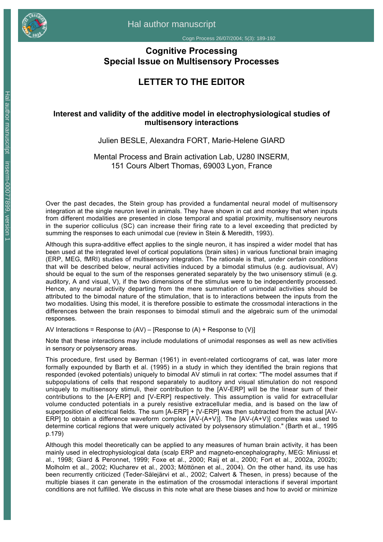

## **Cognitive Processing Special Issue on Multisensory Processes**

## **LETTER TO THE EDITOR**

### **Interest and validity of the additive model in electrophysiological studies of multisensory interactions**

Julien BESLE, Alexandra FORT, Marie-Helene GIARD

Mental Process and Brain activation Lab, U280 INSERM, 151 Cours Albert Thomas, 69003 Lyon, France

Over the past decades, the Stein group has provided a fundamental neural model of multisensory integration at the single neuron level in animals. They have shown in cat and monkey that when inputs from different modalities are presented in close temporal and spatial proximity, multisensory neurons in the superior colliculus (SC) can increase their firing rate to a level exceeding that predicted by summing the responses to each unimodal cue (review in Stein & Meredith, 1993).

Although this supra-additive effect applies to the single neuron, it has inspired a wider model that has been used at the integrated level of cortical populations (brain sites) in various functional brain imaging (ERP, MEG, fMRI) studies of multisensory integration. The rationale is that, *under certain conditions* that will be described below, neural activities induced by a bimodal stimulus (e.g. audiovisual, AV) should be equal to the sum of the responses generated separately by the two unisensory stimuli (e.g. auditory, A and visual, V), if the two dimensions of the stimulus were to be independently processed. Hence, any neural activity departing from the mere summation of unimodal activities should be attributed to the bimodal nature of the stimulation, that is to interactions between the inputs from the two modalities. Using this model, it is therefore possible to estimate the crossmodal interactions in the differences between the brain responses to bimodal stimuli and the algebraic sum of the unimodal responses.

AV Interactions = Response to  $(AV)$  – [Response to  $(A)$  + Response to  $(V)$ ]

Note that these interactions may include modulations of unimodal responses as well as new activities in sensory or polysensory areas.

This procedure, first used by Berman (1961) in event-related corticograms of cat, was later more formally expounded by Barth et al. (1995) in a study in which they identified the brain regions that responded (evoked potentials) uniquely to bimodal AV stimuli in rat cortex: "The model assumes that if subpopulations of cells that respond separately to auditory and visual stimulation do not respond uniquely to multisensory stimuli, their contribution to the [AV-ERP] will be the linear sum of their contributions to the [A-ERP] and [V-ERP] respectively. This assumption is valid for extracellular volume conducted potentials in a purely resistive extracellular media, and is based on the law of superposition of electrical fields. The sum [A-ERP] + [V-ERP] was then subtracted from the actual [AV-ERP] to obtain a difference waveform complex  $[AV-(A+V)]$ . The  $[AV-(A+V)]$  complex was used to determine cortical regions that were uniquely activated by polysensory stimulation." (Barth et al., 1995 p.179)

Although this model theoretically can be applied to any measures of human brain activity, it has been mainly used in electrophysiological data (scalp ERP and magneto-encephalography, MEG: Miniussi et al., 1998; Giard & Peronnet, 1999; Foxe et al., 2000; Raij et al., 2000; Fort et al., 2002a, 2002b; Molholm et al., 2002; Klucharev et al., 2003; Möttönen et al., 2004). On the other hand, its use has been recurrently criticized (Teder-Sälejärvi et al., 2002; Calvert & Thesen, in press) because of the multiple biases it can generate in the estimation of the crossmodal interactions if several important conditions are not fulfilled. We discuss in this note what are these biases and how to avoid or minimize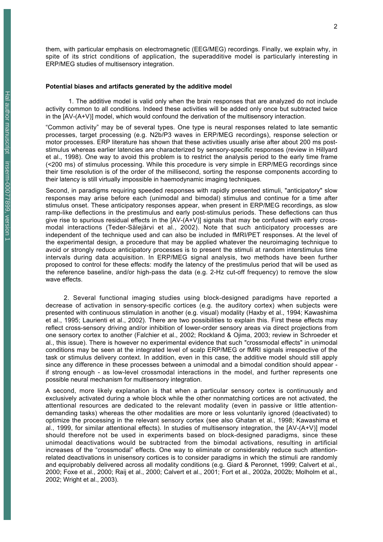them, with particular emphasis on electromagnetic (EEG/MEG) recordings. Finally, we explain why, in spite of its strict conditions of application, the superadditive model is particularly interesting in ERP/MEG studies of multisensory integration.

#### **Potential biases and artifacts generated by the additive model**

1. The additive model is valid only when the brain responses that are analyzed do not include activity common to all conditions. Indeed these activities will be added only once but subtracted twice in the [AV-(A+V)] model, which would confound the derivation of the multisensory interaction.

"Common activity" may be of several types. One type is neural responses related to late semantic processes, target processing (e.g. N2b/P3 waves in ERP/MEG recordings), response selection or motor processes. ERP literature has shown that these activities usually arise after about 200 ms poststimulus whereas earlier latencies are characterized by sensory-specific responses (review in Hillyard et al., 1998). One way to avoid this problem is to restrict the analysis period to the early time frame (<200 ms) of stimulus processing. While this procedure is very simple in ERP/MEG recordings since their time resolution is of the order of the millisecond, sorting the response components according to their latency is still virtually impossible in haemodynamic imaging techniques.

Second, in paradigms requiring speeded responses with rapidly presented stimuli, "anticipatory" slow responses may arise before each (unimodal and bimodal) stimulus and continue for a time after stimulus onset. These anticipatory responses appear, when present in ERP/MEG recordings, as slow ramp-like deflections in the prestimulus and early post-stimulus periods. These deflections can thus give rise to spurious residual effects in the  $[AV-(A+V)]$  signals that may be confused with early crossmodal interactions (Teder-Sälejärvi et al., 2002). Note that such anticipatory processes are independent of the technique used and can also be included in fMRI/PET responses. At the level of the experimental design, a procedure that may be applied whatever the neuroimaging technique to avoid or strongly reduce anticipatory processes is to present the stimuli at random interstimulus time intervals during data acquisition. In ERP/MEG signal analysis, two methods have been further proposed to control for these effects: modify the latency of the prestimulus period that will be used as the reference baseline, and/or high-pass the data (e.g. 2-Hz cut-off frequency) to remove the slow wave effects.

2. Several functional imaging studies using block-designed paradigms have reported a decrease of activation in sensory-specific cortices (e.g. the auditory cortex) when subjects were presented with continuous stimulation in another (e.g. visual) modality (Haxby et al., 1994; Kawashima et al., 1995; Laurienti et al., 2002). There are two possibilities to explain this. First these effects may reflect cross-sensory driving and/or inhibition of lower-order sensory areas via direct projections from one sensory cortex to another (Falchier et al., 2002; Rockland & Ojima, 2003; review in Schroeder et al., this issue). There is however no experimental evidence that such "crossmodal effects" in unimodal conditions may be seen at the integrated level of scalp ERP/MEG or fMRI signals irrespective of the task or stimulus delivery context. In addition, even in this case, the additive model should still apply since any difference in these processes between a unimodal and a bimodal condition should appear if strong enough - as low-level crossmodal interactions in the model, and further represents one possible neural mechanism for multisensory integration.

A second, more likely explanation is that when a particular sensory cortex is continuously and exclusively activated during a whole block while the other nonmatching cortices are not activated, the attentional resources are dedicated to the relevant modality (even in passive or little attentiondemanding tasks) whereas the other modalities are more or less voluntarily ignored (deactivated) to optimize the processing in the relevant sensory cortex (see also Ghatan et al., 1998; Kawashima et al., 1999, for similar attentional effects). In studies of multisensory integration, the [AV-(A+V)] model should therefore not be used in experiments based on block-designed paradigms, since these unimodal deactivations would be subtracted from the bimodal activations, resulting in artificial increases of the "crossmodal" effects. One way to eliminate or considerably reduce such attentionrelated deactivations in unisensory cortices is to consider paradigms in which the stimuli are randomly and equiprobably delivered across all modality conditions (e.g. Giard & Peronnet, 1999; Calvert et al., 2000; Foxe et al., 2000; Raij et al., 2000; Calvert et al., 2001; Fort et al., 2002a, 2002b; Molholm et al., 2002; Wright et al., 2003).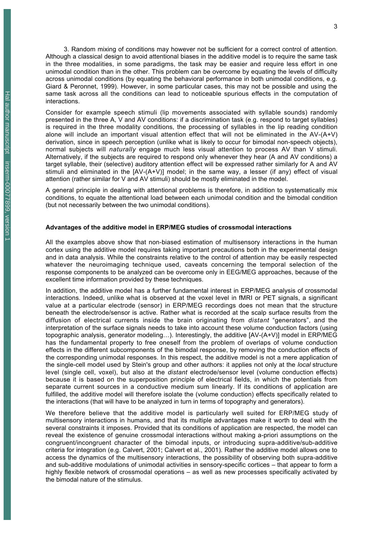3. Random mixing of conditions may however not be sufficient for a correct control of attention. Although a classical design to avoid attentional biases in the additive model is to require the same task in the three modalities, in some paradigms, the task may be easier and require less effort in one unimodal condition than in the other. This problem can be overcome by equating the levels of difficulty across unimodal conditions (by equating the behavioral performance in both unimodal conditions, e.g. Giard & Peronnet, 1999). However, in some particular cases, this may not be possible and using the same task across all the conditions can lead to noticeable spurious effects in the computation of interactions.

Consider for example speech stimuli (lip movements associated with syllable sounds) randomly presented in the three A, V and AV conditions: if a discrimination task (e.g. respond to target syllables) is required in the three modality conditions, the processing of syllables in the lip reading condition alone will include an important visual attention effect that will not be eliminated in the AV-(A+V) derivation, since in speech perception (unlike what is likely to occur for bimodal non-speech objects), normal subjects will *naturally* engage much less visual attention to process AV than V stimuli. Alternatively, if the subjects are required to respond only whenever they hear (A and AV conditions) a target syllable, their (selective) auditory attention effect will be expressed rather similarly for A and AV stimuli and eliminated in the  $[AV-(A+V)]$  model; in the same way, a lesser (if any) effect of visual attention (rather similar for V and AV stimuli) should be mostly eliminated in the model.

A general principle in dealing with attentional problems is therefore, in addition to systematically mix conditions, to equate the attentional load between each unimodal condition and the bimodal condition (but not necessarily between the two unimodal conditions).

#### **Advantages of the additive model in ERP/MEG studies of crossmodal interactions**

All the examples above show that non-biased estimation of multisensory interactions in the human cortex using the additive model requires taking important precautions both in the experimental design and in data analysis. While the constraints relative to the control of attention may be easily respected whatever the neuroimaging technique used, caveats concerning the temporal selection of the response components to be analyzed can be overcome only in EEG/MEG approaches, because of the excellent time information provided by these techniques.

In addition, the additive model has a further fundamental interest in ERP/MEG analysis of crossmodal interactions. Indeed, unlike what is observed at the voxel level in fMRI or PET signals, a significant value at a particular electrode (sensor) in ERP/MEG recordings does not mean that the structure beneath the electrode/sensor is active. Rather what is recorded at the scalp surface results from the diffusion of electrical currents inside the brain originating from *distant* "generators", and the interpretation of the surface signals needs to take into account these volume conduction factors (using topographic analysis, generator modeling…). Interestingly, the additive [AV-(A+V)] model in ERP/MEG has the fundamental property to free oneself from the problem of overlaps of volume conduction effects in the different subcomponents of the bimodal response, by removing the conduction effects of the corresponding unimodal responses. In this respect, the additive model is not a mere application of the single-cell model used by Stein's group and other authors: it applies not only at the *local* structure level (single cell, voxel), but also at the *distant* electrode/sensor level (volume conduction effects) because it is based on the superposition principle of electrical fields, in which the potentials from separate current sources in a conductive medium sum linearly. If its conditions of application are fulfilled, the additive model will therefore isolate the (volume conduction) effects specifically related to the interactions (that will have to be analyzed in turn in terms of topography and generators).

We therefore believe that the additive model is particularly well suited for ERP/MEG study of multisensory interactions in humans, and that its multiple advantages make it worth to deal with the several constraints it imposes. Provided that its conditions of application are respected, the model can reveal the existence of genuine crossmodal interactions without making a-priori assumptions on the congruent/incongruent character of the bimodal inputs, or introducing supra-additive/sub-additive criteria for integration (e.g. Calvert, 2001; Calvert et al., 2001). Rather the additive model allows one to access the dynamics of the multisensory interactions, the possibility of observing both supra-additive and sub-additive modulations of unimodal activities in sensory-specific cortices – that appear to form a highly flexible network of crossmodal operations – as well as new processes specifically activated by the bimodal nature of the stimulus.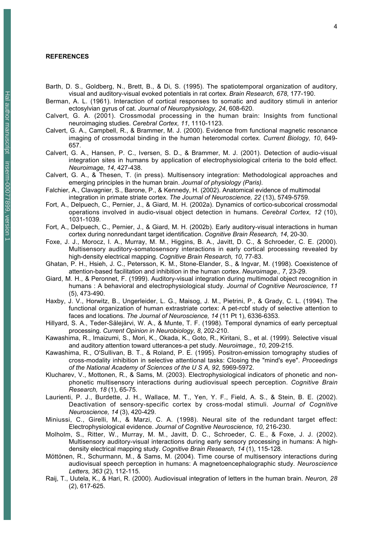- Barth, D. S., Goldberg, N., Brett, B., & Di, S. (1995). The spatiotemporal organization of auditory, visual and auditory-visual evoked potentials in rat cortex. *Brain Research, 678*, 177-190.
- Berman, A. L. (1961). Interaction of cortical responses to somatic and auditory stimuli in anterior ectosylvian gyrus of cat. *Journal of Neurophysiology, 24*, 608-620.
- Calvert, G. A. (2001). Crossmodal processing in the human brain: Insights from functional neuroimaging studies. *Cerebral Cortex, 11*, 1110-1123.
- Calvert, G. A., Campbell, R., & Brammer, M. J. (2000). Evidence from functional magnetic resonance imaging of crossmodal binding in the human heteromodal cortex. *Current Biology, 10*, 649- 657.
- Calvert, G. A., Hansen, P. C., Iversen, S. D., & Brammer, M. J. (2001). Detection of audio-visual integration sites in humans by application of electrophysiological criteria to the bold effect. *Neuroimage, 14*, 427-438.
- Calvert, G. A., & Thesen, T. (in press). Multisensory integration: Methodological approaches and emerging principles in the human brain. *Journal of physiology (Paris)*.
- Falchier, A., Clavagnier, S., Barone, P., & Kennedy, H. (2002). Anatomical evidence of multimodal integration in primate striate cortex. *The Journal of Neuroscience, 22* (13), 5749-5759.
- Fort, A., Delpuech, C., Pernier, J., & Giard, M. H. (2002a). Dynamics of cortico-subcorical crossmodal operations involved in audio-visual object detection in humans. *Cerebral Cortex, 12* (10), 1031-1039.
- Fort, A., Delpuech, C., Pernier, J., & Giard, M. H. (2002b). Early auditory-visual interactions in human cortex during nonredundant target identification. *Cognitive Brain Research, 14*, 20-30.
- Foxe, J. J., Morocz, I. A., Murray, M. M., Higgins, B. A., Javitt, D. C., & Schroeder, C. E. (2000). Multisensory auditory-somatosensory interactions in early cortical processing revealed by high-density electrical mapping. *Cognitive Brain Research, 10*, 77-83.
- Ghatan, P. H., Hsieh, J. C., Petersson, K. M., Stone-Elander, S., & Ingvar, M. (1998). Coexistence of attention-based facilitation and inhibition in the human cortex. *Neuroimage., 7*, 23-29.
- Giard, M. H., & Peronnet, F. (1999). Auditory-visual integration during multimodal object recognition in humans : A behavioral and electrophysiological study. *Journal of Cognitive Neuroscience, 11* (5), 473-490.
- Haxby, J. V., Horwitz, B., Ungerleider, L. G., Maisog, J. M., Pietrini, P., & Grady, C. L. (1994). The functional organization of human extrastriate cortex: A pet-rcbf study of selective attention to faces and locations. *The Journal of Neuroscience, 14* (11 Pt 1), 6336-6353.
- Hillyard, S. A., Teder-Sälejärvi, W. A., & Munte, T. F. (1998). Temporal dynamics of early perceptual processing. *Current Opinion in Neurobiology, 8*, 202-210.
- Kawashima, R., Imaizumi, S., Mori, K., Okada, K., Goto, R., Kiritani, S., et al. (1999). Selective visual and auditory attention toward utterances-a pet study. *Neuroimage., 10*, 209-215.
- Kawashima, R., O'Sullivan, B. T., & Roland, P. E. (1995). Positron-emission tomography studies of cross-modality inhibition in selective attentional tasks: Closing the "mind's eye". *Proceedings of the National Academy of Sciences of the U S A, 92*, 5969-5972.
- Klucharev, V., Mottonen, R., & Sams, M. (2003). Electrophysiological indicators of phonetic and nonphonetic multisensory interactions during audiovisual speech perception. *Cognitive Brain Research, 18* (1), 65-75.
- Laurienti, P. J., Burdette, J. H., Wallace, M. T., Yen, Y. F., Field, A. S., & Stein, B. E. (2002). Deactivation of sensory-specific cortex by cross-modal stimuli. *Journal of Cognitive Neuroscience, 14* (3), 420-429.
- Miniussi, C., Girelli, M., & Marzi, C. A. (1998). Neural site of the redundant target effect: Electrophysiological evidence. *Journal of Cognitive Neuroscience, 10*, 216-230.
- Molholm, S., Ritter, W., Murray, M. M., Javitt, D. C., Schroeder, C. E., & Foxe, J. J. (2002). Multisensory auditory-visual interactions during early sensory processing in humans: A highdensity electrical mapping study. *Cognitive Brain Research, 14* (1), 115-128.
- Möttönen, R., Schurmann, M., & Sams, M. (2004). Time course of multisensory interactions during audiovisual speech perception in humans: A magnetoencephalographic study. *Neuroscience Letters, 363* (2), 112-115.
- Raij, T., Uutela, K., & Hari, R. (2000). Audiovisual integration of letters in the human brain. *Neuron, 28* (2), 617-625.